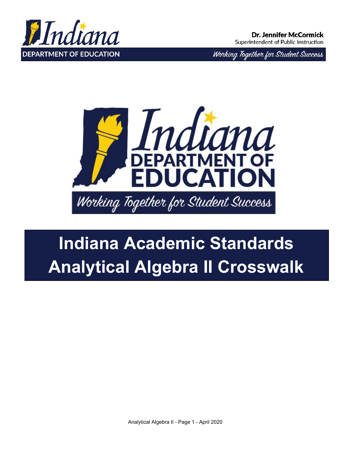

Working Together for Student Success



# **Indiana Academic Standards Analytical Algebra II Crosswalk**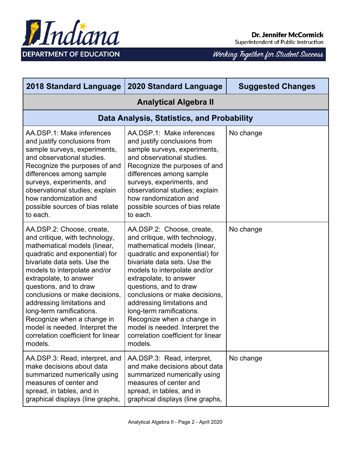

| <b>2018 Standard Language</b>                                                                                                                                                                                                                                                                                                                                                                                                                                  | <b>2020 Standard Language</b>                                                                                                                                                                                                                                                                                                                                                                                                                                  | <b>Suggested Changes</b> |  |  |
|----------------------------------------------------------------------------------------------------------------------------------------------------------------------------------------------------------------------------------------------------------------------------------------------------------------------------------------------------------------------------------------------------------------------------------------------------------------|----------------------------------------------------------------------------------------------------------------------------------------------------------------------------------------------------------------------------------------------------------------------------------------------------------------------------------------------------------------------------------------------------------------------------------------------------------------|--------------------------|--|--|
|                                                                                                                                                                                                                                                                                                                                                                                                                                                                | <b>Analytical Algebra II</b>                                                                                                                                                                                                                                                                                                                                                                                                                                   |                          |  |  |
|                                                                                                                                                                                                                                                                                                                                                                                                                                                                | Data Analysis, Statistics, and Probability                                                                                                                                                                                                                                                                                                                                                                                                                     |                          |  |  |
| AA.DSP.1: Make inferences<br>and justify conclusions from<br>sample surveys, experiments,<br>and observational studies.<br>Recognize the purposes of and<br>differences among sample<br>surveys, experiments, and<br>observational studies; explain<br>how randomization and<br>possible sources of bias relate<br>to each.                                                                                                                                    | AA.DSP.1: Make inferences<br>and justify conclusions from<br>sample surveys, experiments,<br>and observational studies.<br>Recognize the purposes of and<br>differences among sample<br>surveys, experiments, and<br>observational studies; explain<br>how randomization and<br>possible sources of bias relate<br>to each.                                                                                                                                    | No change                |  |  |
| AA.DSP.2: Choose, create,<br>and critique, with technology,<br>mathematical models (linear,<br>quadratic and exponential) for<br>bivariate data sets. Use the<br>models to interpolate and/or<br>extrapolate, to answer<br>questions, and to draw<br>conclusions or make decisions,<br>addressing limitations and<br>long-term ramifications.<br>Recognize when a change in<br>model is needed. Interpret the<br>correlation coefficient for linear<br>models. | AA.DSP.2: Choose, create,<br>and critique, with technology,<br>mathematical models (linear,<br>quadratic and exponential) for<br>bivariate data sets. Use the<br>models to interpolate and/or<br>extrapolate, to answer<br>questions, and to draw<br>conclusions or make decisions,<br>addressing limitations and<br>long-term ramifications.<br>Recognize when a change in<br>model is needed. Interpret the<br>correlation coefficient for linear<br>models. | No change                |  |  |
| AA.DSP.3: Read, interpret, and<br>make decisions about data<br>summarized numerically using<br>measures of center and<br>spread, in tables, and in<br>graphical displays (line graphs,                                                                                                                                                                                                                                                                         | AA.DSP.3: Read, interpret,<br>and make decisions about data<br>summarized numerically using<br>measures of center and<br>spread, in tables, and in<br>graphical displays (line graphs,                                                                                                                                                                                                                                                                         | No change                |  |  |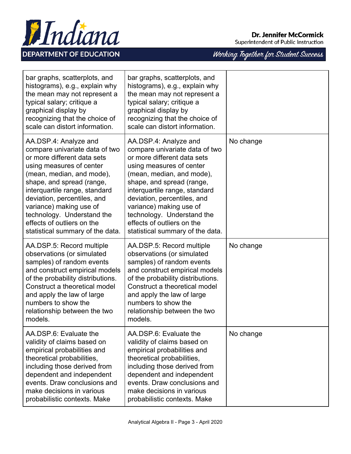#### **Dr. Jennifer McCormick**

Superintendent of Public Instruction



| bar graphs, scatterplots, and<br>histograms), e.g., explain why<br>the mean may not represent a<br>typical salary; critique a<br>graphical display by<br>recognizing that the choice of<br>scale can distort information.                                                                                                                                               | bar graphs, scatterplots, and<br>histograms), e.g., explain why<br>the mean may not represent a<br>typical salary; critique a<br>graphical display by<br>recognizing that the choice of<br>scale can distort information.                                                                                                                                               |           |
|-------------------------------------------------------------------------------------------------------------------------------------------------------------------------------------------------------------------------------------------------------------------------------------------------------------------------------------------------------------------------|-------------------------------------------------------------------------------------------------------------------------------------------------------------------------------------------------------------------------------------------------------------------------------------------------------------------------------------------------------------------------|-----------|
| AA.DSP.4: Analyze and<br>compare univariate data of two<br>or more different data sets<br>using measures of center<br>(mean, median, and mode),<br>shape, and spread (range,<br>interquartile range, standard<br>deviation, percentiles, and<br>variance) making use of<br>technology. Understand the<br>effects of outliers on the<br>statistical summary of the data. | AA.DSP.4: Analyze and<br>compare univariate data of two<br>or more different data sets<br>using measures of center<br>(mean, median, and mode),<br>shape, and spread (range,<br>interquartile range, standard<br>deviation, percentiles, and<br>variance) making use of<br>technology. Understand the<br>effects of outliers on the<br>statistical summary of the data. | No change |
| AA.DSP.5: Record multiple<br>observations (or simulated<br>samples) of random events<br>and construct empirical models<br>of the probability distributions.<br>Construct a theoretical model<br>and apply the law of large<br>numbers to show the<br>relationship between the two<br>models.                                                                            | AA.DSP.5: Record multiple<br>observations (or simulated<br>samples) of random events<br>and construct empirical models<br>of the probability distributions.<br>Construct a theoretical model<br>and apply the law of large<br>numbers to show the<br>relationship between the two<br>models.                                                                            | No change |
| AA.DSP.6: Evaluate the<br>validity of claims based on<br>empirical probabilities and<br>theoretical probabilities,<br>including those derived from<br>dependent and independent<br>events. Draw conclusions and<br>make decisions in various<br>probabilistic contexts. Make                                                                                            | AA.DSP.6: Evaluate the<br>validity of claims based on<br>empirical probabilities and<br>theoretical probabilities,<br>including those derived from<br>dependent and independent<br>events. Draw conclusions and<br>make decisions in various<br>probabilistic contexts. Make                                                                                            | No change |

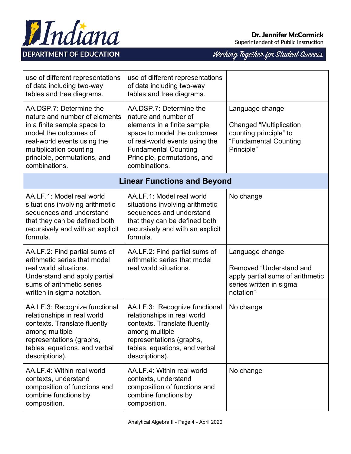

| use of different representations<br>of data including two-way<br>tables and tree diagrams.                                                                                                                                  | use of different representations<br>of data including two-way<br>tables and tree diagrams.                                                                                                                                      |                                                                                                                        |
|-----------------------------------------------------------------------------------------------------------------------------------------------------------------------------------------------------------------------------|---------------------------------------------------------------------------------------------------------------------------------------------------------------------------------------------------------------------------------|------------------------------------------------------------------------------------------------------------------------|
| AA.DSP.7: Determine the<br>nature and number of elements<br>in a finite sample space to<br>model the outcomes of<br>real-world events using the<br>multiplication counting<br>principle, permutations, and<br>combinations. | AA.DSP.7: Determine the<br>nature and number of<br>elements in a finite sample<br>space to model the outcomes<br>of real-world events using the<br><b>Fundamental Counting</b><br>Principle, permutations, and<br>combinations. | Language change<br><b>Changed "Multiplication</b><br>counting principle" to<br>"Fundamental Counting<br>Principle"     |
| <b>Linear Functions and Beyond</b>                                                                                                                                                                                          |                                                                                                                                                                                                                                 |                                                                                                                        |
| AA.LF.1: Model real world<br>situations involving arithmetic<br>sequences and understand<br>that they can be defined both<br>recursively and with an explicit<br>formula.                                                   | AA.LF.1: Model real world<br>situations involving arithmetic<br>sequences and understand<br>that they can be defined both<br>recursively and with an explicit<br>formula.                                                       | No change                                                                                                              |
| AA.LF.2: Find partial sums of<br>arithmetic series that model<br>real world situations.<br>Understand and apply partial<br>sums of arithmetic series<br>written in sigma notation.                                          | AA.LF.2: Find partial sums of<br>arithmetic series that model<br>real world situations.                                                                                                                                         | Language change<br>Removed "Understand and<br>apply partial sums of arithmetic<br>series written in sigma<br>notation" |
| AA.LF.3: Recognize functional<br>relationships in real world<br>contexts. Translate fluently<br>among multiple<br>representations (graphs,<br>tables, equations, and verbal<br>descriptions).                               | AA.LF.3: Recognize functional<br>relationships in real world<br>contexts. Translate fluently<br>among multiple<br>representations (graphs,<br>tables, equations, and verbal<br>descriptions).                                   | No change                                                                                                              |
| AA.LF.4: Within real world<br>contexts, understand<br>composition of functions and<br>combine functions by<br>composition.                                                                                                  | AA.LF.4: Within real world<br>contexts, understand<br>composition of functions and<br>combine functions by<br>composition.                                                                                                      | No change                                                                                                              |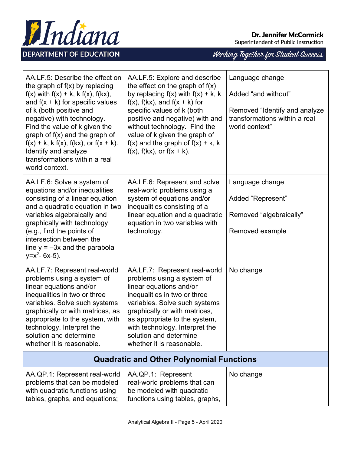

**Dr. Jennifer McCormick** 

Superintendent of Public Instruction

| AA.LF.5: Describe the effect on<br>the graph of $f(x)$ by replacing<br>$f(x)$ with $f(x) + k$ , k $f(x)$ , $f(kx)$ ,<br>and $f(x + k)$ for specific values<br>of k (both positive and<br>negative) with technology.<br>Find the value of k given the<br>graph of $f(x)$ and the graph of<br>$f(x) + k$ , k $f(x)$ , $f(kx)$ , or $f(x + k)$ .<br>Identify and analyze<br>transformations within a real<br>world context. | AA.LF.5: Explore and describe<br>the effect on the graph of $f(x)$<br>by replacing $f(x)$ with $f(x) + k$ , k<br>$f(x)$ , $f(kx)$ , and $f(x + k)$ for<br>specific values of k (both<br>positive and negative) with and<br>without technology. Find the<br>value of k given the graph of<br>$f(x)$ and the graph of $f(x) + k$ , k<br>$f(x)$ , $f(kx)$ , or $f(x + k)$ . | Language change<br>Added "and without"<br>Removed "Identify and analyze<br>transformations within a real<br>world context" |
|--------------------------------------------------------------------------------------------------------------------------------------------------------------------------------------------------------------------------------------------------------------------------------------------------------------------------------------------------------------------------------------------------------------------------|--------------------------------------------------------------------------------------------------------------------------------------------------------------------------------------------------------------------------------------------------------------------------------------------------------------------------------------------------------------------------|----------------------------------------------------------------------------------------------------------------------------|
| AA.LF.6: Solve a system of<br>equations and/or inequalities<br>consisting of a linear equation<br>and a quadratic equation in two<br>variables algebraically and<br>graphically with technology<br>(e.g., find the points of<br>intersection between the<br>line $y = -3x$ and the parabola<br>$y=x^2-6x-5$ ).                                                                                                           | AA.LF.6: Represent and solve<br>real-world problems using a<br>system of equations and/or<br>inequalities consisting of a<br>linear equation and a quadratic<br>equation in two variables with<br>technology.                                                                                                                                                            | Language change<br>Added "Represent"<br>Removed "algebraically"<br>Removed example                                         |
| AA.LF.7: Represent real-world<br>problems using a system of<br>linear equations and/or<br>inequalities in two or three<br>variables. Solve such systems<br>graphically or with matrices, as<br>appropriate to the system, with<br>technology. Interpret the<br>solution and determine<br>whether it is reasonable.                                                                                                       | AA.LF.7: Represent real-world<br>problems using a system of<br>linear equations and/or<br>inequalities in two or three<br>variables. Solve such systems<br>graphically or with matrices,<br>as appropriate to the system,<br>with technology. Interpret the<br>solution and determine<br>whether it is reasonable.                                                       | No change                                                                                                                  |
| <b>Quadratic and Other Polynomial Functions</b>                                                                                                                                                                                                                                                                                                                                                                          |                                                                                                                                                                                                                                                                                                                                                                          |                                                                                                                            |
| AA.QP.1: Represent real-world<br>problems that can be modeled<br>with quadratic functions using<br>tables, graphs, and equations;                                                                                                                                                                                                                                                                                        | AA.QP.1: Represent<br>real-world problems that can<br>be modeled with quadratic<br>functions using tables, graphs,                                                                                                                                                                                                                                                       | No change                                                                                                                  |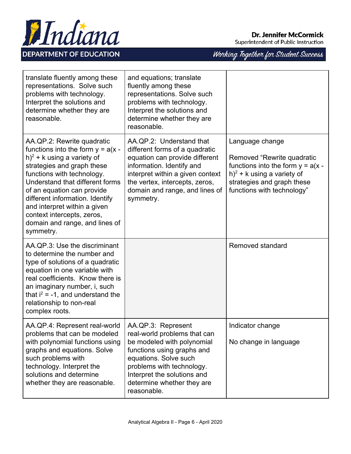



| translate fluently among these<br>representations. Solve such<br>problems with technology.<br>Interpret the solutions and<br>determine whether they are<br>reasonable.                                                                                                                                                                                                          | and equations; translate<br>fluently among these<br>representations. Solve such<br>problems with technology.<br>Interpret the solutions and<br>determine whether they are<br>reasonable.                                                         |                                                                                                                                                                                   |
|---------------------------------------------------------------------------------------------------------------------------------------------------------------------------------------------------------------------------------------------------------------------------------------------------------------------------------------------------------------------------------|--------------------------------------------------------------------------------------------------------------------------------------------------------------------------------------------------------------------------------------------------|-----------------------------------------------------------------------------------------------------------------------------------------------------------------------------------|
| AA.QP.2: Rewrite quadratic<br>functions into the form $y = a(x -$<br>$h)^2$ + k using a variety of<br>strategies and graph these<br>functions with technology.<br>Understand that different forms<br>of an equation can provide<br>different information. Identify<br>and interpret within a given<br>context intercepts, zeros,<br>domain and range, and lines of<br>symmetry. | AA.QP.2: Understand that<br>different forms of a quadratic<br>equation can provide different<br>information. Identify and<br>interpret within a given context<br>the vertex, intercepts, zeros,<br>domain and range, and lines of<br>symmetry.   | Language change<br>Removed "Rewrite quadratic<br>functions into the form $y = a(x -$<br>$h)^2$ + k using a variety of<br>strategies and graph these<br>functions with technology" |
| AA, QP.3: Use the discriminant<br>to determine the number and<br>type of solutions of a quadratic<br>equation in one variable with<br>real coefficients. Know there is<br>an imaginary number, i, such<br>that $i^2 = -1$ , and understand the<br>relationship to non-real<br>complex roots.                                                                                    |                                                                                                                                                                                                                                                  | Removed standard                                                                                                                                                                  |
| AA.QP.4: Represent real-world<br>problems that can be modeled<br>with polynomial functions using<br>graphs and equations. Solve<br>such problems with<br>technology. Interpret the<br>solutions and determine<br>whether they are reasonable.                                                                                                                                   | AA.QP.3: Represent<br>real-world problems that can<br>be modeled with polynomial<br>functions using graphs and<br>equations. Solve such<br>problems with technology.<br>Interpret the solutions and<br>determine whether they are<br>reasonable. | Indicator change<br>No change in language                                                                                                                                         |

Hndiana

**DEPARTMENT OF EDUCATION** 

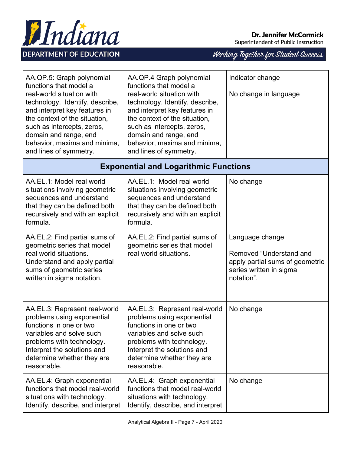

| AA.QP.5: Graph polynomial<br>functions that model a<br>real-world situation with<br>technology. Identify, describe,<br>and interpret key features in<br>the context of the situation,<br>such as intercepts, zeros,<br>domain and range, end<br>behavior, maxima and minima,<br>and lines of symmetry. | AA.QP.4 Graph polynomial<br>functions that model a<br>real-world situation with<br>technology. Identify, describe,<br>and interpret key features in<br>the context of the situation,<br>such as intercepts, zeros,<br>domain and range, end<br>behavior, maxima and minima,<br>and lines of symmetry. | Indicator change<br>No change in language                                                                              |
|--------------------------------------------------------------------------------------------------------------------------------------------------------------------------------------------------------------------------------------------------------------------------------------------------------|-------------------------------------------------------------------------------------------------------------------------------------------------------------------------------------------------------------------------------------------------------------------------------------------------------|------------------------------------------------------------------------------------------------------------------------|
|                                                                                                                                                                                                                                                                                                        | <b>Exponential and Logarithmic Functions</b>                                                                                                                                                                                                                                                          |                                                                                                                        |
| AA.EL.1: Model real world<br>situations involving geometric<br>sequences and understand<br>that they can be defined both<br>recursively and with an explicit<br>formula.                                                                                                                               | AA.EL.1: Model real world<br>situations involving geometric<br>sequences and understand<br>that they can be defined both<br>recursively and with an explicit<br>formula.                                                                                                                              | No change                                                                                                              |
| AA.EL.2: Find partial sums of<br>geometric series that model<br>real world situations.<br>Understand and apply partial<br>sums of geometric series<br>written in sigma notation.                                                                                                                       | AA.EL.2: Find partial sums of<br>geometric series that model<br>real world situations.                                                                                                                                                                                                                | Language change<br>Removed "Understand and<br>apply partial sums of geometric<br>series written in sigma<br>notation". |
| AA.EL.3: Represent real-world<br>problems using exponential<br>functions in one or two<br>variables and solve such<br>problems with technology.<br>Interpret the solutions and<br>determine whether they are<br>reasonable.                                                                            | AA.EL.3: Represent real-world<br>problems using exponential<br>functions in one or two<br>variables and solve such<br>problems with technology.<br>Interpret the solutions and<br>determine whether they are<br>reasonable.                                                                           | No change                                                                                                              |
| AA.EL.4: Graph exponential<br>functions that model real-world<br>situations with technology.<br>Identify, describe, and interpret                                                                                                                                                                      | AA.EL.4: Graph exponential<br>functions that model real-world<br>situations with technology.<br>Identify, describe, and interpret                                                                                                                                                                     | No change                                                                                                              |

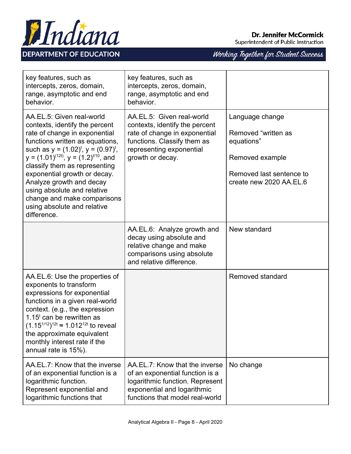



| key features, such as<br>intercepts, zeros, domain,<br>range, asymptotic and end<br>behavior.                                                                                                                                                                                                                                                                                                                                            | key features, such as<br>intercepts, zeros, domain,<br>range, asymptotic and end<br>behavior.                                                                               |                                                                                                                                |
|------------------------------------------------------------------------------------------------------------------------------------------------------------------------------------------------------------------------------------------------------------------------------------------------------------------------------------------------------------------------------------------------------------------------------------------|-----------------------------------------------------------------------------------------------------------------------------------------------------------------------------|--------------------------------------------------------------------------------------------------------------------------------|
| AA.EL.5: Given real-world<br>contexts, identify the percent<br>rate of change in exponential<br>functions written as equations,<br>such as $y = (1.02)^t$ , $y = (0.97)^t$ ,<br>$y = (1.01)^{(12t)}$ , $y = (1.2)^{t/10}$ , and<br>classify them as representing<br>exponential growth or decay.<br>Analyze growth and decay<br>using absolute and relative<br>change and make comparisons<br>using absolute and relative<br>difference. | AA.EL.5: Given real-world<br>contexts, identify the percent<br>rate of change in exponential<br>functions. Classify them as<br>representing exponential<br>growth or decay. | Language change<br>Removed "written as<br>equations"<br>Removed example<br>Removed last sentence to<br>create new 2020 AA.EL.6 |
|                                                                                                                                                                                                                                                                                                                                                                                                                                          | AA.EL.6: Analyze growth and<br>decay using absolute and<br>relative change and make<br>comparisons using absolute<br>and relative difference.                               | New standard                                                                                                                   |
| AA.EL.6: Use the properties of<br>exponents to transform<br>expressions for exponential<br>functions in a given real-world<br>context. (e.g., the expression<br>1.15 $t$ can be rewritten as<br>$(1.15^{1/12})^{12t} \approx 1.012^{12t}$ to reveal<br>the approximate equivalent<br>monthly interest rate if the<br>annual rate is 15%).                                                                                                |                                                                                                                                                                             | Removed standard                                                                                                               |
| AA.EL.7: Know that the inverse<br>of an exponential function is a<br>logarithmic function.<br>Represent exponential and<br>logarithmic functions that                                                                                                                                                                                                                                                                                    | AA.EL.7: Know that the inverse<br>of an exponential function is a<br>logarithmic function. Represent<br>exponential and logarithmic<br>functions that model real-world      | No change                                                                                                                      |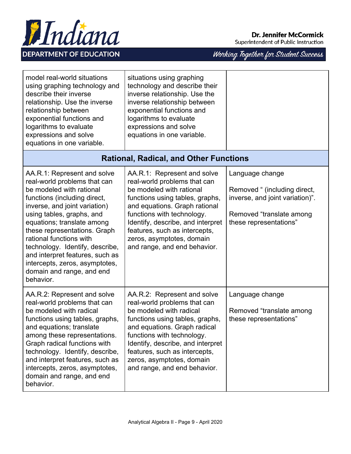

Working Together for Student Success

| model real-world situations<br>using graphing technology and<br>describe their inverse<br>relationship. Use the inverse<br>relationship between<br>exponential functions and<br>logarithms to evaluate<br>expressions and solve<br>equations in one variable.                                                                                                                                                                    | situations using graphing<br>technology and describe their<br>inverse relationship. Use the<br>inverse relationship between<br>exponential functions and<br>logarithms to evaluate<br>expressions and solve<br>equations in one variable.                                                                                    |                                                                                                                                          |
|----------------------------------------------------------------------------------------------------------------------------------------------------------------------------------------------------------------------------------------------------------------------------------------------------------------------------------------------------------------------------------------------------------------------------------|------------------------------------------------------------------------------------------------------------------------------------------------------------------------------------------------------------------------------------------------------------------------------------------------------------------------------|------------------------------------------------------------------------------------------------------------------------------------------|
|                                                                                                                                                                                                                                                                                                                                                                                                                                  | <b>Rational, Radical, and Other Functions</b>                                                                                                                                                                                                                                                                                |                                                                                                                                          |
| AA.R.1: Represent and solve<br>real-world problems that can<br>be modeled with rational<br>functions (including direct,<br>inverse, and joint variation)<br>using tables, graphs, and<br>equations; translate among<br>these representations. Graph<br>rational functions with<br>technology. Identify, describe,<br>and interpret features, such as<br>intercepts, zeros, asymptotes,<br>domain and range, and end<br>behavior. | AA.R.1: Represent and solve<br>real-world problems that can<br>be modeled with rational<br>functions using tables, graphs,<br>and equations. Graph rational<br>functions with technology.<br>Identify, describe, and interpret<br>features, such as intercepts,<br>zeros, asymptotes, domain<br>and range, and end behavior. | Language change<br>Removed " (including direct,<br>inverse, and joint variation)".<br>Removed "translate among<br>these representations" |
| AA.R.2: Represent and solve<br>real-world problems that can<br>be modeled with radical<br>functions using tables, graphs,<br>and equations; translate<br>among these representations.<br>Graph radical functions with<br>technology. Identify, describe,<br>and interpret features, such as<br>intercepts, zeros, asymptotes,<br>domain and range, and end<br>behavior.                                                          | AA.R.2: Represent and solve<br>real-world problems that can<br>be modeled with radical<br>functions using tables, graphs,<br>and equations. Graph radical<br>functions with technology.<br>Identify, describe, and interpret<br>features, such as intercepts,<br>zeros, asymptotes, domain<br>and range, and end behavior.   | Language change<br>Removed "translate among<br>these representations"                                                                    |

Hndiana

**DEPARTMENT OF EDUCATION**